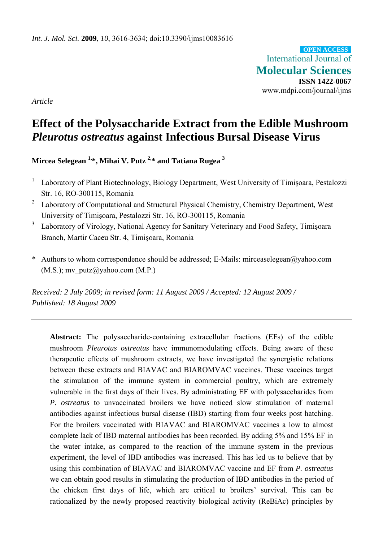International Journal of **Molecular Sciences ISSN 1422-0067**  www.mdpi.com/journal/ijms **OPEN ACCESS**

*Article* 

# **Effect of the Polysaccharide Extract from the Edible Mushroom**  *Pleurotus ostreatus* **against Infectious Bursal Disease Virus**

**Mircea Selegean 1,\*, Mihai V. Putz 2,\* and Tatiana Rugea 3**

- 1 Laboratory of Plant Biotechnology, Biology Department, West University of Timişoara, Pestalozzi Str. 16, RO-300115, Romania
- <sup>2</sup> Laboratory of Computational and Structural Physical Chemistry, Chemistry Department, West University of Timişoara, Pestalozzi Str. 16, RO-300115, Romania
- 3 Laboratory of Virology, National Agency for Sanitary Veterinary and Food Safety, Timişoara Branch, Martir Caceu Str. 4, Timişoara, Romania
- \* Authors to whom correspondence should be addressed; E-Mails: mirceaselegean@yahoo.com  $(M.S.)$ ; mv\_putz@yahoo.com  $(M.P.)$

*Received: 2 July 2009; in revised form: 11 August 2009 / Accepted: 12 August 2009 / Published: 18 August 2009* 

**Abstract:** The polysaccharide-containing extracellular fractions (EFs) of the edible mushroom *Pleurotus ostreatus* have immunomodulating effects. Being aware of these therapeutic effects of mushroom extracts, we have investigated the synergistic relations between these extracts and BIAVAC and BIAROMVAC vaccines. These vaccines target the stimulation of the immune system in commercial poultry, which are extremely vulnerable in the first days of their lives. By administrating EF with polysaccharides from *P. ostreatus* to unvaccinated broilers we have noticed slow stimulation of maternal antibodies against infectious bursal disease (IBD) starting from four weeks post hatching. For the broilers vaccinated with BIAVAC and BIAROMVAC vaccines a low to almost complete lack of IBD maternal antibodies has been recorded. By adding 5% and 15% EF in the water intake, as compared to the reaction of the immune system in the previous experiment, the level of IBD antibodies was increased. This has led us to believe that by using this combination of BIAVAC and BIAROMVAC vaccine and EF from *P. ostreatus* we can obtain good results in stimulating the production of IBD antibodies in the period of the chicken first days of life, which are critical to broilers' survival. This can be rationalized by the newly proposed reactivity biological activity (ReBiAc) principles by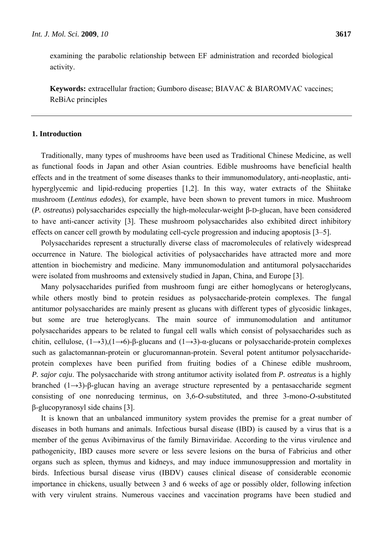examining the parabolic relationship between EF administration and recorded biological activity.

**Keywords:** extracellular fraction; Gumboro disease; BIAVAC & BIAROMVAC vaccines; ReBiAc principles

# **1. Introduction**

Traditionally, many types of mushrooms have been used as Traditional Chinese Medicine, as well as functional foods in Japan and other Asian countries. Edible mushrooms have beneficial health effects and in the treatment of some diseases thanks to their immunomodulatory, anti-neoplastic, antihyperglycemic and lipid-reducing properties [1,2]. In this way, water extracts of the Shiitake mushroom (*Lentinus edodes*), for example, have been shown to prevent tumors in mice. Mushroom (*P. ostreatus*) polysaccharides especially the high-molecular-weight β-D-glucan, have been considered to have anti-cancer activity [3]. These mushroom polysaccharides also exhibited direct inhibitory effects on cancer cell growth by modulating cell-cycle progression and inducing apoptosis [3–5].

Polysaccharides represent a structurally diverse class of macromolecules of relatively widespread occurrence in Nature. The biological activities of polysaccharides have attracted more and more attention in biochemistry and medicine. Many immunomodulation and antitumoral polysaccharides were isolated from mushrooms and extensively studied in Japan, China, and Europe [3].

Many polysaccharides purified from mushroom fungi are either homoglycans or heteroglycans, while others mostly bind to protein residues as polysaccharide-protein complexes. The fungal antitumor polysaccharides are mainly present as glucans with different types of glycosidic linkages, but some are true heteroglycans. The main source of immunomodulation and antitumor polysaccharides appears to be related to fungal cell walls which consist of polysaccharides such as chitin, cellulose,  $(1\rightarrow 3)$ , $(1\rightarrow 6)$ -β-glucans and  $(1\rightarrow 3)$ -α-glucans or polysaccharide-protein complexes such as galactomannan-protein or glucuromannan-protein. Several potent antitumor polysaccharideprotein complexes have been purified from fruiting bodies of a Chinese edible mushroom, *P. sajor caju*. The polysaccharide with strong antitumor activity isolated from *P. ostreatus* is a highly branched (1→3)-β-glucan having an average structure represented by a pentasaccharide segment consisting of one nonreducing terminus, on 3,6-*O*-substituted, and three 3-mono-*O*-substituted β-glucopyranosyl side chains [3].

It is known that an unbalanced immunitory system provides the premise for a great number of diseases in both humans and animals. Infectious bursal disease (IBD) is caused by a virus that is a member of the genus Avibirnavirus of the family Birnaviridae. According to the virus virulence and pathogenicity, IBD causes more severe or less severe lesions on the bursa of Fabricius and other organs such as spleen, thymus and kidneys, and may induce immunosuppression and mortality in birds. Infectious bursal disease virus (IBDV) causes clinical disease of considerable economic importance in chickens, usually between 3 and 6 weeks of age or possibly older, following infection with very virulent strains. Numerous vaccines and vaccination programs have been studied and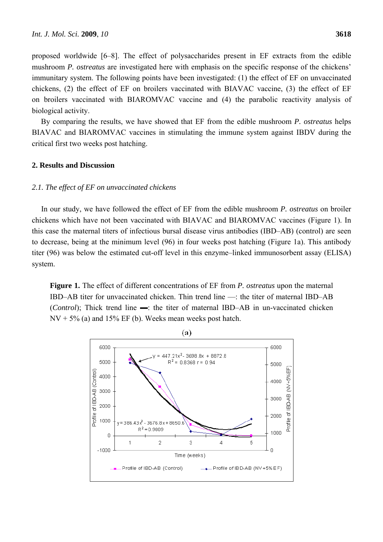proposed worldwide [6–8]. The effect of polysaccharides present in EF extracts from the edible mushroom *P. ostreatus* are investigated here with emphasis on the specific response of the chickens' immunitary system. The following points have been investigated: (1) the effect of EF on unvaccinated chickens, (2) the effect of EF on broilers vaccinated with BIAVAC vaccine, (3) the effect of EF on broilers vaccinated with BIAROMVAC vaccine and (4) the parabolic reactivity analysis of biological activity.

By comparing the results, we have showed that EF from the edible mushroom *P. ostreatus* helps BIAVAC and BIAROMVAC vaccines in stimulating the immune system against IBDV during the critical first two weeks post hatching.

# **2. Results and Discussion**

## *2.1. The effect of EF on unvaccinated chickens*

In our study, we have followed the effect of EF from the edible mushroom *P. ostreatus* on broiler chickens which have not been vaccinated with BIAVAC and BIAROMVAC vaccines (Figure 1). In this case the maternal titers of infectious bursal disease virus antibodies (IBD–AB) (control) are seen to decrease, being at the minimum level (96) in four weeks post hatching (Figure 1a). This antibody titer (96) was below the estimated cut-off level in this enzyme–linked immunosorbent assay (ELISA) system.

**Figure 1.** The effect of different concentrations of EF from *P. ostreatus* upon the maternal IBD–AB titer for unvaccinated chicken. Thin trend line —: the titer of maternal IBD–AB (*Control*); Thick trend line —: the titer of maternal IBD–AB in un-vaccinated chicken  $NV + 5%$  (a) and 15% EF (b). Weeks mean weeks post hatch.

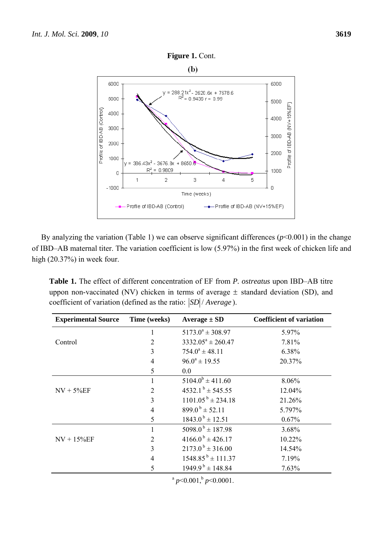

By analyzing the variation (Table 1) we can observe significant differences  $(p<0.001)$  in the change of IBD–AB maternal titer. The variation coefficient is low (5.97%) in the first week of chicken life and high (20.37%) in week four.

**Table 1.** The effect of different concentration of EF from *P. ostreatus* upon IBD–AB titre uppon non-vaccinated (NV) chicken in terms of average  $\pm$  standard deviation (SD), and coefficient of variation (defined as the ratio: *SD* / *Average* ).

| <b>Experimental Source</b> | Time (weeks) | Average $\pm$ SD                 | <b>Coefficient of variation</b> |
|----------------------------|--------------|----------------------------------|---------------------------------|
|                            | 1            | $5173.0^a \pm 308.97$            | 5.97%                           |
| Control                    | 2            | $3332.05^a \pm 260.47$           | 7.81%                           |
|                            | 3            | $754.0^a \pm 48.11$              | 6.38%                           |
|                            | 4            | $96.0^a \pm 19.55$               | 20.37%                          |
|                            | 5            | 0.0                              |                                 |
|                            | 1            | $5104.0^b \pm 411.60$            | 8.06%                           |
| $NV + 5\%EF$               | 2            | $4532.1^{\mathrm{b}} \pm 545.55$ | 12.04%                          |
|                            | 3            | $1101.05^{b} \pm 234.18$         | 21.26%                          |
|                            | 4            | $899.0^{\mathrm{b}} \pm 52.11$   | 5.797%                          |
|                            | 5            | $1843.0^{b} \pm 12.51$           | $0.67\%$                        |
|                            | 1            | $5098.0^{\mathrm{b}} \pm 187.98$ | 3.68%                           |
| $NV + 15%EF$               | 2            | $4166.0^{\mathrm{b}} \pm 426.17$ | 10.22%                          |
|                            | 3            | $2173.0^{\mathrm{b}} \pm 316.00$ | 14.54%                          |
|                            | 4            | $1548.85^{b} \pm 111.37$         | 7.19%                           |
|                            | 5            | $1949.9^{\mathrm{b}} \pm 148.84$ | 7.63%                           |

 $a^{a} p<0.001$ ,  $b^{b} p<0.0001$ .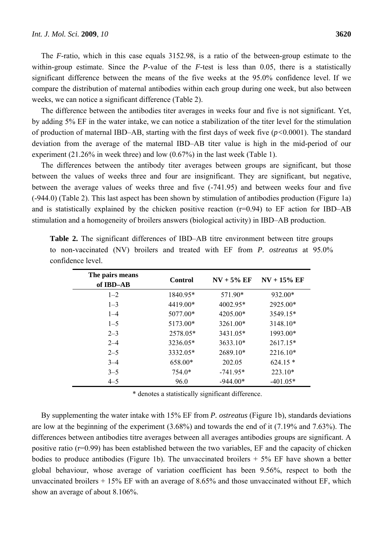The *F*-ratio, which in this case equals 3152.98, is a ratio of the between-group estimate to the within-group estimate. Since the *P*-value of the *F*-test is less than 0.05, there is a statistically significant difference between the means of the five weeks at the 95.0% confidence level. If we compare the distribution of maternal antibodies within each group during one week, but also between weeks, we can notice a significant difference (Table 2).

The difference between the antibodies titer averages in weeks four and five is not significant. Yet, by adding 5% EF in the water intake, we can notice a stabilization of the titer level for the stimulation of production of maternal IBD–AB, starting with the first days of week five (*p<*0.0001). The standard deviation from the average of the maternal IBD–AB titer value is high in the mid-period of our experiment (21.26% in week three) and low (0.67%) in the last week (Table 1).

The differences between the antibody titer averages between groups are significant, but those between the values of weeks three and four are insignificant. They are significant, but negative, between the average values of weeks three and five (-741.95) and between weeks four and five (-944.0) (Table 2). This last aspect has been shown by stimulation of antibodies production (Figure 1a) and is statistically explained by the chicken positive reaction  $(r=0.94)$  to EF action for IBD–AB stimulation and a homogeneity of broilers answers (biological activity) in IBD–AB production.

| The pairs means<br>of IBD-AB | Control  | $NV + 5\% EF$ | $NV + 15\% EF$ |
|------------------------------|----------|---------------|----------------|
| $1 - 2$                      | 1840.95* | 571.90*       | 932.00*        |
| $1 - 3$                      | 4419.00* | 4002.95*      | 2925.00*       |
| $1 - 4$                      | 5077.00* | 4205.00*      | 3549.15*       |
| $1 - 5$                      | 5173.00* | 3261.00*      | 3148.10*       |
| $2 - 3$                      | 2578.05* | 3431.05*      | 1993.00*       |
| $2 - 4$                      | 3236.05* | $3633.10*$    | $2617.15*$     |
| $2 - 5$                      | 3332.05* | $2689.10*$    | $2216.10*$     |
| $3 - 4$                      | 658.00*  | 202.05        | $624.15*$      |
| $3 - 5$                      | $754.0*$ | $-741.95*$    | 223.10*        |
| $4 - 5$                      | 96.0     | $-944.00*$    | $-401.05*$     |

**Table 2.** The significant differences of IBD–AB titre environment between titre groups to non-vaccinated (NV) broilers and treated with EF from *P. ostreatus* at 95.0% confidence level.

\* denotes a statistically significant difference.

By supplementing the water intake with 15% EF from *P. ostreatus* (Figure 1b), standards deviations are low at the beginning of the experiment (3.68%) and towards the end of it (7.19% and 7.63%). The differences between antibodies titre averages between all averages antibodies groups are significant. A positive ratio (r=0.99) has been established between the two variables, EF and the capacity of chicken bodies to produce antibodies (Figure 1b). The unvaccinated broilers  $+5\%$  EF have shown a better global behaviour, whose average of variation coefficient has been 9.56%, respect to both the unvaccinated broilers  $+ 15\%$  EF with an average of 8.65% and those unvaccinated without EF, which show an average of about 8.106%.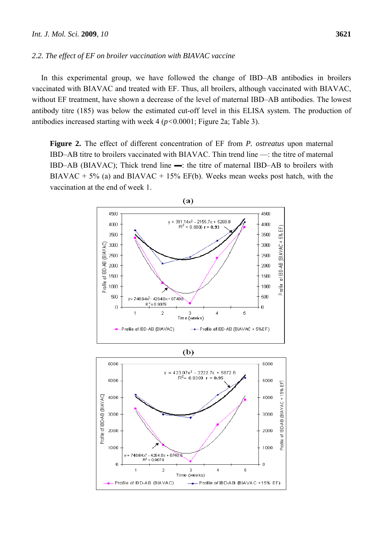# *2.2. The effect of EF on broiler vaccination with BIAVAC vaccine*

In this experimental group, we have followed the change of IBD–AB antibodies in broilers vaccinated with BIAVAC and treated with EF. Thus, all broilers, although vaccinated with BIAVAC, without EF treatment, have shown a decrease of the level of maternal IBD–AB antibodies. The lowest antibody titre (185) was below the estimated cut-off level in this ELISA system. The production of antibodies increased starting with week 4 (*p<*0.0001; Figure 2a; Table 3).

**Figure 2.** The effect of different concentration of EF from *P. ostreatus* upon maternal IBD–AB titre to broilers vaccinated with BIAVAC. Thin trend line —: the titre of maternal IBD–AB (BIAVAC); Thick trend line ▬: the titre of maternal IBD–AB to broilers with BIAVAC + 5% (a) and BIAVAC + 15% EF(b). Weeks mean weeks post hatch, with the vaccination at the end of week 1.



 $748.64x^2 - 4264.8x$ 

Profile of IBD-AB (BIAVAC)

 $\overline{1}$ 

 $\overline{a}$ 

 $R^2 = 0.9079$ 

 $\overline{2}$ 

6740.6

3

Time (weeks)

 $\overline{4}$ 

 $\overline{a}$ 

5

-- Profile of IBD-AB (BIAVAC +15% EF)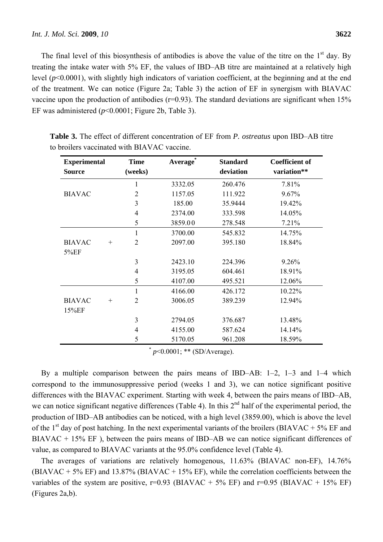The final level of this biosynthesis of antibodies is above the value of the titre on the  $1<sup>st</sup>$  day. By treating the intake water with 5% EF, the values of IBD–AB titre are maintained at a relatively high level (*p*<0.0001), with slightly high indicators of variation coefficient, at the beginning and at the end of the treatment. We can notice (Figure 2a; Table 3) the action of EF in synergism with BIAVAC vaccine upon the production of antibodies ( $r=0.93$ ). The standard deviations are significant when 15% EF was administered (*p*<0.0001; Figure 2b, Table 3).

| <b>Experimental</b><br><b>Time</b> |                | $Average^*$ | <b>Standard</b> | <b>Coefficient of</b> |  |  |
|------------------------------------|----------------|-------------|-----------------|-----------------------|--|--|
| Source                             | (weeks)        |             | deviation       | variation**           |  |  |
|                                    | 1              | 3332.05     | 260.476         | 7.81%                 |  |  |
| <b>BIAVAC</b>                      | 2              | 1157.05     | 111.922         | 9.67%                 |  |  |
|                                    | $\overline{3}$ | 185.00      | 35.9444         | 19.42%                |  |  |
|                                    | 4              | 2374.00     | 333.598         | 14.05%                |  |  |
|                                    | 5              | 3859.00     | 278.548         | 7.21%                 |  |  |
|                                    | 1              | 3700.00     | 545.832         | 14.75%                |  |  |
| <b>BIAVAC</b><br>$^{+}$            | $\overline{2}$ | 2097.00     | 395.180         | 18.84%                |  |  |
| 5%EF                               |                |             |                 |                       |  |  |
|                                    | 3              | 2423.10     | 224.396         | 9.26%                 |  |  |
|                                    | 4              | 3195.05     | 604.461         | 18.91%                |  |  |
|                                    | 5              | 4107.00     | 495.521         | 12.06%                |  |  |
|                                    | $\mathbf{1}$   | 4166.00     | 426.172         | 10.22%                |  |  |
| <b>BIAVAC</b><br>$+$               | 2              | 3006.05     | 389.239         | 12.94%                |  |  |
| 15%EF                              |                |             |                 |                       |  |  |
|                                    | 3              | 2794.05     | 376.687         | 13.48%                |  |  |
|                                    | 4              | 4155.00     | 587.624         | 14.14%                |  |  |
|                                    | 5              | 5170.05     | 961.208         | 18.59%                |  |  |

**Table 3.** The effect of different concentration of EF from *P. ostreatus* upon IBD–AB titre to broilers vaccinated with BIAVAC vaccine.

 $*$  *p*<0.0001; \*\* (SD/Average).

By a multiple comparison between the pairs means of IBD–AB: 1–2, 1–3 and 1–4 which correspond to the immunosuppressive period (weeks 1 and 3), we can notice significant positive differences with the BIAVAC experiment. Starting with week 4, between the pairs means of IBD–AB, we can notice significant negative differences (Table 4). In this  $2<sup>nd</sup>$  half of the experimental period, the production of IBD–AB antibodies can be noticed, with a high level (3859.00), which is above the level of the 1<sup>st</sup> day of post hatching. In the next experimental variants of the broilers (BIAVAC + 5% EF and BIAVAC + 15% EF ), between the pairs means of IBD–AB we can notice significant differences of value, as compared to BIAVAC variants at the 95.0% confidence level (Table 4).

The averages of variations are relatively homogenous, 11.63% (BIAVAC non-EF), 14.76%  $(BIAVAC + 5\% EF)$  and 13.87%  $(BIAVAC + 15\% EF)$ , while the correlation coefficients between the variables of the system are positive,  $r=0.93$  (BIAVAC + 5% EF) and  $r=0.95$  (BIAVAC + 15% EF) (Figures 2a,b).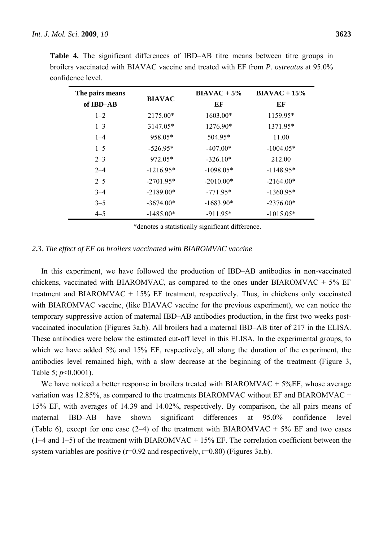| The pairs means<br>of IBD-AB | <b>BIAVAC</b> | $BIAVAC + 5%$<br>EF | $BIAVAC + 15%$<br>EF |  |
|------------------------------|---------------|---------------------|----------------------|--|
| $1 - 2$                      | 2175.00*      | 1603.00*            | 1159.95*             |  |
| $1 - 3$                      | 3147.05*      | $1276.90*$          | 1371.95*             |  |
| $1 - 4$                      | 958.05*       | 504.95*             | 11.00                |  |
| $1 - 5$                      | $-526.95*$    | $-407.00*$          | $-1004.05*$          |  |
| $2 - 3$                      | 972.05*       | $-326.10*$          | 212.00               |  |
| $2 - 4$                      | $-1216.95*$   | $-1098.05*$         | $-1148.95*$          |  |
| $2 - 5$                      | $-2701.95*$   | $-2010.00*$         | $-2164.00*$          |  |
| $3 - 4$                      | $-2189.00*$   | $-771.95*$          | $-1360.95*$          |  |
| $3 - 5$                      | $-3674.00*$   | $-1683.90*$         | $-2376.00*$          |  |
| $4 - 5$                      | $-1485.00*$   | $-911.95*$          | $-1015.05*$          |  |

**Table 4.** The significant differences of IBD–AB titre means between titre groups in broilers vaccinated with BIAVAC vaccine and treated with EF from *P. ostreatus* at 95.0% confidence level.

\*denotes a statistically significant difference.

#### *2.3. The effect of EF on broilers vaccinated with BIAROMVAC vaccine*

In this experiment, we have followed the production of IBD–AB antibodies in non-vaccinated chickens, vaccinated with BIAROMVAC, as compared to the ones under BIAROMVAC  $+ 5\%$  EF treatment and BIAROMVAC + 15% EF treatment, respectively. Thus, in chickens only vaccinated with BIAROMVAC vaccine, (like BIAVAC vaccine for the previous experiment), we can notice the temporary suppressive action of maternal IBD–AB antibodies production, in the first two weeks postvaccinated inoculation (Figures 3a,b). All broilers had a maternal IBD–AB titer of 217 in the ELISA. These antibodies were below the estimated cut-off level in this ELISA. In the experimental groups, to which we have added 5% and 15% EF, respectively, all along the duration of the experiment, the antibodies level remained high, with a slow decrease at the beginning of the treatment (Figure 3, Table 5; *p*<0.0001).

We have noticed a better response in broilers treated with BIAROMVAC  $+ 5\%$ EF, whose average variation was 12.85%, as compared to the treatments BIAROMVAC without EF and BIAROMVAC + 15% EF, with averages of 14.39 and 14.02%, respectively. By comparison, the all pairs means of maternal IBD–AB have shown significant differences at 95.0% confidence level (Table 6), except for one case  $(2-4)$  of the treatment with BIAROMVAC + 5% EF and two cases  $(1-4$  and  $1-5)$  of the treatment with BIAROMVAC + 15% EF. The correlation coefficient between the system variables are positive ( $r=0.92$  and respectively,  $r=0.80$ ) (Figures 3a,b).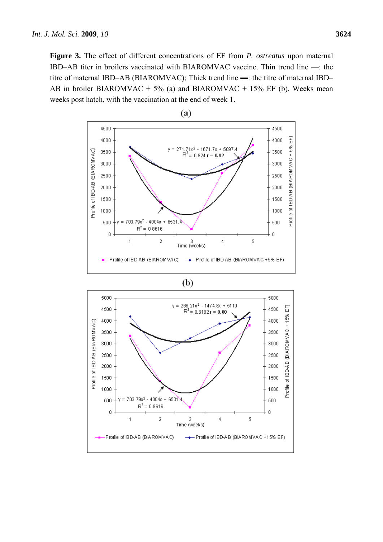**Figure 3.** The effect of different concentrations of EF from *P. ostreatus* upon maternal IBD–AB titer in broilers vaccinated with BIAROMVAC vaccine. Thin trend line —: the titre of maternal IBD–AB (BIAROMVAC); Thick trend line ▬: the titre of maternal IBD– AB in broiler BIAROMVAC + 5% (a) and BIAROMVAC + 15% EF (b). Weeks mean weeks post hatch, with the vaccination at the end of week 1.







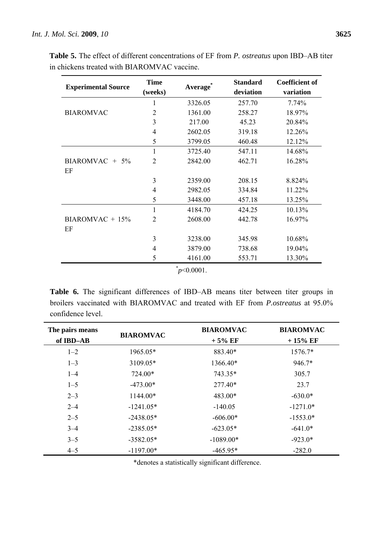| <b>Experimental Source</b> | <b>Time</b><br>(weeks) | Average <sup>®</sup> | <b>Standard</b><br>deviation | <b>Coefficient of</b><br>variation |
|----------------------------|------------------------|----------------------|------------------------------|------------------------------------|
|                            | 1                      | 3326.05              | 257.70                       | 7.74%                              |
| <b>BIAROMVAC</b>           | 2                      | 1361.00              | 258.27                       | 18.97%                             |
|                            | 3                      | 217.00               | 45.23                        | 20.84%                             |
|                            | $\overline{4}$         | 2602.05              | 319.18                       | 12.26%                             |
|                            | 5                      | 3799.05              | 460.48                       | 12.12%                             |
|                            | 1                      | 3725.40              | 547.11                       | 14.68%                             |
| BIAROMVAC + $5\%$          | $\overline{2}$         | 2842.00              | 462.71                       | 16.28%                             |
| EF                         |                        |                      |                              |                                    |
|                            | 3                      | 2359.00              | 208.15                       | 8.824%                             |
|                            | 4                      | 2982.05              | 334.84                       | 11.22%                             |
|                            | 5                      | 3448.00              | 457.18                       | 13.25%                             |
|                            | 1                      | 4184.70              | 424.25                       | 10.13%                             |
| $BIAROMVAC + 15%$          | 2                      | 2608.00              | 442.78                       | 16.97%                             |
| EF                         |                        |                      |                              |                                    |
|                            | 3                      | 3238.00              | 345.98                       | 10.68%                             |
|                            | 4                      | 3879.00              | 738.68                       | 19.04%                             |
|                            | 5                      | 4161.00              | 553.71                       | 13.30%                             |

**Table 5.** The effect of different concentrations of EF from *P. ostreatus* upon IBD–AB titer in chickens treated with BIAROMVAC vaccine.

 $\sqrt[*]{p}$  < 0.0001.

**Table 6.** The significant differences of IBD–AB means titer between titer groups in broilers vaccinated with BIAROMVAC and treated with EF from *P.ostreatus* at 95.0% confidence level.

| The pairs means<br>of IBD-AB | <b>BIAROMVAC</b> | <b>BIAROMVAC</b><br>$+5\%$ EF | <b>BIAROMVAC</b><br>$+15%$ EF |  |
|------------------------------|------------------|-------------------------------|-------------------------------|--|
| $1 - 2$                      | 1965.05*         | 883.40*                       | $1576.7*$                     |  |
| $1 - 3$                      | 3109.05*         | 1366.40*                      | 946.7*                        |  |
| $1 - 4$                      | 724.00*          | 743.35*                       | 305.7                         |  |
| $1 - 5$                      | $-473.00*$       | $277.40*$                     | 23.7                          |  |
| $2 - 3$                      | 1144.00*         | 483.00*                       | $-630.0*$                     |  |
| $2 - 4$                      | $-1241.05*$      | $-140.05$                     | $-1271.0*$                    |  |
| $2 - 5$                      | $-2438.05*$      | $-606.00*$                    | $-1553.0*$                    |  |
| $3 - 4$                      | $-2385.05*$      | $-623.05*$                    | $-641.0*$                     |  |
| $3 - 5$                      | $-3582.05*$      | $-1089.00*$                   | $-923.0*$                     |  |
| $4 - 5$                      | $-1197.00*$      | $-465.95*$                    | $-282.0$                      |  |

\*denotes a statistically significant difference.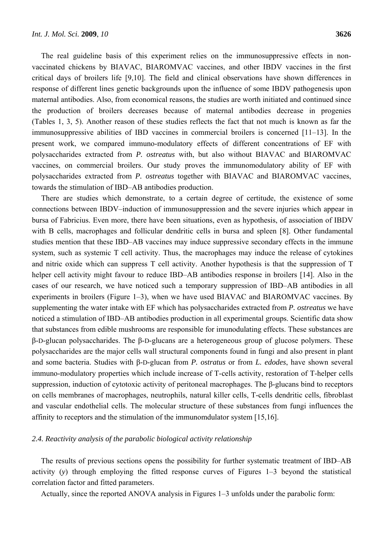The real guideline basis of this experiment relies on the immunosuppressive effects in nonvaccinated chickens by BIAVAC, BIAROMVAC vaccines, and other IBDV vaccines in the first critical days of broilers life [9,10]. The field and clinical observations have shown differences in response of different lines genetic backgrounds upon the influence of some IBDV pathogenesis upon maternal antibodies. Also, from economical reasons, the studies are worth initiated and continued since the production of broilers decreases because of maternal antibodies decrease in progenies (Tables 1, 3, 5). Another reason of these studies reflects the fact that not much is known as far the immunosuppressive abilities of IBD vaccines in commercial broilers is concerned [11–13]. In the present work, we compared immuno-modulatory effects of different concentrations of EF with polysaccharides extracted from *P. ostreatus* with, but also without BIAVAC and BIAROMVAC vaccines, on commercial broilers. Our study proves the immunomodulatory ability of EF with polysaccharides extracted from *P. ostreatus* together with BIAVAC and BIAROMVAC vaccines, towards the stimulation of IBD–AB antibodies production.

There are studies which demonstrate, to a certain degree of certitude, the existence of some connections between IBDV–induction of immunosuppression and the severe injuries which appear in bursa of Fabricius. Even more, there have been situations, even as hypothesis, of association of IBDV with B cells, macrophages and follicular dendritic cells in bursa and spleen [8]. Other fundamental studies mention that these IBD–AB vaccines may induce suppressive secondary effects in the immune system, such as systemic T cell activity. Thus, the macrophages may induce the release of cytokines and nitric oxide which can suppress T cell activity. Another hypothesis is that the suppression of T helper cell activity might favour to reduce IBD–AB antibodies response in broilers [14]. Also in the cases of our research, we have noticed such a temporary suppression of IBD–AB antibodies in all experiments in broilers (Figure 1–3), when we have used BIAVAC and BIAROMVAC vaccines. By supplementing the water intake with EF which has polysaccharides extracted from *P. ostreatus* we have noticed a stimulation of IBD–AB antibodies production in all experimental groups. Scientific data show that substances from edible mushrooms are responsible for imunodulating effects. These substances are β-D-glucan polysaccharides. The β-D-glucans are a heterogeneous group of glucose polymers. These polysaccharides are the major cells wall structural components found in fungi and also present in plant and some bacteria. Studies with β-D-glucan from *P. ostratus* or from *L. edodes*, have shown several immuno-modulatory properties which include increase of T-cells activity, restoration of T-helper cells suppression, induction of cytotoxic activity of peritoneal macrophages. The β-glucans bind to receptors on cells membranes of macrophages, neutrophils, natural killer cells, T-cells dendritic cells, fibroblast and vascular endothelial cells. The molecular structure of these substances from fungi influences the affinity to receptors and the stimulation of the immunomdulator system [15,16].

## *2.4. Reactivity analysis of the parabolic biological activity relationship*

The results of previous sections opens the possibility for further systematic treatment of IBD–AB activity (*y*) through employing the fitted response curves of Figures 1–3 beyond the statistical correlation factor and fitted parameters.

Actually, since the reported ANOVA analysis in Figures 1–3 unfolds under the parabolic form: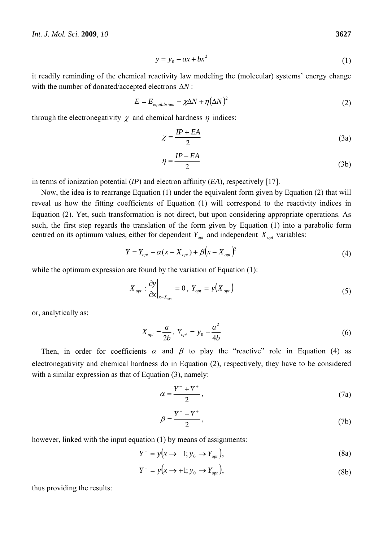$$
y = y_0 - ax + bx^2 \tag{1}
$$

it readily reminding of the chemical reactivity law modeling the (molecular) systems' energy change with the number of donated/accepted electrons Δ*N* :

$$
E = E_{equilibrium} - \chi \Delta N + \eta (\Delta N)^2 \tag{2}
$$

through the electronegativity  $\chi$  and chemical hardness  $\eta$  indices:

$$
\chi = \frac{IP + EA}{2} \tag{3a}
$$

$$
\eta = \frac{IP - EA}{2} \tag{3b}
$$

in terms of ionization potential (*IP*) and electron affinity (*EA*), respectively [17].

Now, the idea is to rearrange Equation (1) under the equivalent form given by Equation (2) that will reveal us how the fitting coefficients of Equation (1) will correspond to the reactivity indices in Equation (2). Yet, such transformation is not direct, but upon considering appropriate operations. As such, the first step regards the translation of the form given by Equation (1) into a parabolic form centred on its optimum values, either for dependent  $Y_{opt}$  and independent  $X_{opt}$  variables:

$$
Y = Y_{opt} - \alpha (x - X_{opt}) + \beta (x - X_{opt})^2
$$
 (4)

while the optimum expression are found by the variation of Equation (1):

$$
X_{opt}: \frac{\partial y}{\partial x}\Big|_{x=X_{opt}} = 0, \ Y_{opt} = y(X_{opt})
$$
\n(5)

or, analytically as:

$$
X_{opt} = \frac{a}{2b}, Y_{opt} = y_0 - \frac{a^2}{4b} \tag{6}
$$

Then, in order for coefficients  $\alpha$  and  $\beta$  to play the "reactive" role in Equation (4) as electronegativity and chemical hardness do in Equation (2), respectively, they have to be considered with a similar expression as that of Equation (3), namely:

$$
\alpha = \frac{Y^- + Y^+}{2},\tag{7a}
$$

$$
\beta = \frac{Y^- - Y^+}{2},\tag{7b}
$$

however, linked with the input equation (1) by means of assignments:

$$
Y^{-} = y(x \to -1; y_0 \to Y_{opt}), \tag{8a}
$$

$$
Y^+ = y(x \to +1; y_0 \to Y_{opt}),
$$
\n(8b)

thus providing the results: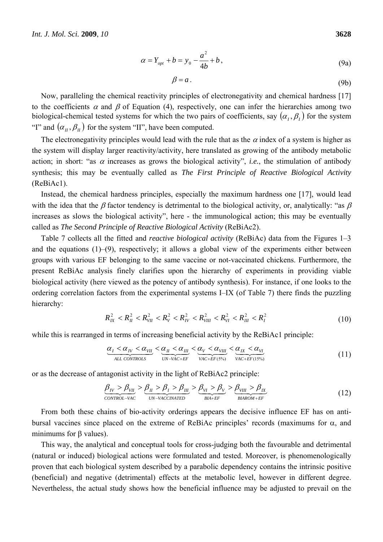$$
\alpha = Y_{opt} + b = y_0 - \frac{a^2}{4b} + b,\tag{9a}
$$

$$
\beta = a \tag{9b}
$$

Now, paralleling the chemical reactivity principles of electronegativity and chemical hardness [17] to the coefficients  $\alpha$  and  $\beta$  of Equation (4), respectively, one can infer the hierarchies among two biological-chemical tested systems for which the two pairs of coefficients, say  $(\alpha_I, \beta_I)$  for the system "I" and  $(\alpha_{\mu}, \beta_{\mu})$  for the system "II", have been computed.

The electronegativity principles would lead with the rule that as the  $\alpha$  index of a system is higher as the system will display larger reactivity/activity, here translated as growing of the antibody metabolic action; in short: "as  $\alpha$  increases as grows the biological activity", *i.e.*, the stimulation of antibody synthesis; this may be eventually called as *The First Principle of Reactive Biological Activity*  (ReBiAc1).

Instead, the chemical hardness principles, especially the maximum hardness one [17], would lead with the idea that the  $\beta$  factor tendency is detrimental to the biological activity, or, analytically: "as  $\beta$ increases as slows the biological activity", here - the immunological action; this may be eventually called as *The Second Principle of Reactive Biological Activity* (ReBiAc2).

Table 7 collects all the fitted and *reactive biological activity* (ReBiAc) data from the Figures 1–3 and the equations  $(1)$ – $(9)$ , respectively; it allows a global view of the experiments either between groups with various EF belonging to the same vaccine or not-vaccinated chickens. Furthermore, the present ReBiAc analysis finely clarifies upon the hierarchy of experiments in providing viable biological activity (here viewed as the potency of antibody synthesis). For instance, if one looks to the ordering correlation factors from the experimental systems I–IX (of Table 7) there finds the puzzling hierarchy:

$$
R_{IX}^2 < R_{II}^2 < R_{VII}^2 < R_V^2 < R_{IV}^2 < R_{VII}^2 < R_{VI}^2 < R_{II}^2 < R_I^2 \tag{10}
$$

while this is rearranged in terms of increasing beneficial activity by the ReBiAc1 principle:

$$
\underbrace{\alpha_{I} < \alpha_{IV} < \alpha_{VII}}_{ALL\text{ CONTROLS}} < \underbrace{\alpha_{II} < \alpha_{III}}_{UN-VAC+EF} < \underbrace{\alpha_{V} < \alpha_{VIII}}_{VAC+EF(5\%)} < \underbrace{\alpha_{IX} < \alpha_{VI}}_{VAC+EF(15\%)} \tag{11}
$$

or as the decrease of antagonist activity in the light of ReBiAc2 principle:

$$
\underbrace{\beta_{IV} > \beta_{VII}}_{CONTROL-VAC} > \underbrace{\beta_{II} > \beta_{I} > \beta_{III}}_{UN-VACCINATED} > \underbrace{\beta_{VI} > \beta_{V}}_{BIA+EF} > \underbrace{\beta_{VIII} > \beta_{IX}}_{BIAROM+EF}
$$
(12)

From both these chains of bio-activity orderings appears the decisive influence EF has on antibursal vaccines since placed on the extreme of ReBiAc principles' records (maximums for α, and minimums for β values).

This way, the analytical and conceptual tools for cross-judging both the favourable and detrimental (natural or induced) biological actions were formulated and tested. Moreover, is phenomenologically proven that each biological system described by a parabolic dependency contains the intrinsic positive (beneficial) and negative (detrimental) effects at the metabolic level, however in different degree. Nevertheless, the actual study shows how the beneficial influence may be adjusted to prevail on the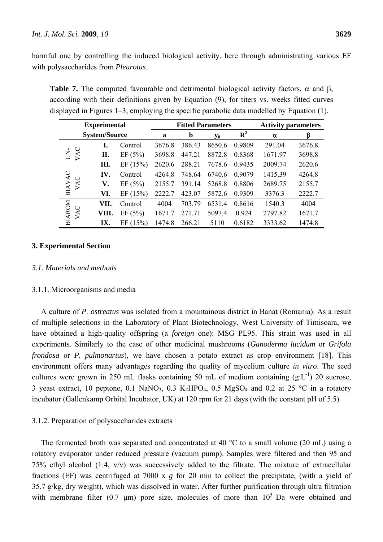harmful one by controlling the induced biological activity, here through administrating various EF with polysaccharides from *Pleurotus*.

**Table 7.** The computed favourable and detrimental biological activity factors,  $\alpha$  and  $\beta$ , according with their definitions given by Equation (9), for titers vs. weeks fitted curves displayed in Figures 1–3, employing the specific parabolic data modelled by Equation (1).

| <b>Experimental</b>  |       | <b>Fitted Parameters</b> |             |        |             | <b>Activity parameters</b> |         |        |
|----------------------|-------|--------------------------|-------------|--------|-------------|----------------------------|---------|--------|
| <b>System/Source</b> |       | a                        | $\mathbf b$ | $y_0$  | ${\bf R}^2$ | $\alpha$                   | β       |        |
|                      | I.    | Control                  | 3676.8      | 386.43 | 8650.6      | 0.9809                     | 291.04  | 3676.8 |
| VAC<br>$\rm \dot{E}$ | П.    | EF(5%)                   | 3698.8      | 447.21 | 8872.8      | 0.8368                     | 1671.97 | 3698.8 |
|                      | Ш.    | EF $(15%)$               | 2620.6      | 288.21 | 7678.6      | 0.9435                     | 2009.74 | 2620.6 |
|                      | IV.   | Control                  | 4264.8      | 748.64 | 6740.6      | 0.9079                     | 1415.39 | 4264.8 |
| BIAVAC<br>VAC        | V.    | EF(5%)                   | 2155.7      | 391.14 | 5268.8      | 0.8806                     | 2689.75 | 2155.7 |
|                      | VI.   | EF $(15%)$               | 2222.7      | 423.07 | 5872.6      | 0.9309                     | 3376.3  | 2222.7 |
|                      | VII.  | Control                  | 4004        | 703.79 | 6531.4      | 0.8616                     | 1540.3  | 4004   |
| <b>BIAROM</b><br>VAC | VIII. | EF(5%)                   | 1671.7      | 271.71 | 5097.4      | 0.924                      | 2797.82 | 1671.7 |
|                      | IX.   | EF $(15%)$               | 1474.8      | 266.21 | 5110        | 0.6182                     | 3333.62 | 1474.8 |

## **3. Experimental Section**

#### *3.1. Materials and methods*

## 3.1.1. Microorganisms and media

A culture of *P. ostreatus* was isolated from a mountainous district in Banat (Romania). As a result of multiple selections in the Laboratory of Plant Biotechnology, West University of Timisoara, we have obtained a high-quality offspring (a *foreign* one): MSG PL95. This strain was used in all experiments. Similarly to the case of other medicinal mushrooms (*Ganoderma lucidum* or *Grifola frondosa* or *P. pulmonarius*), we have chosen a potato extract as crop environment [18]. This environment offers many advantages regarding the quality of mycelium culture *in vitro*. The seed cultures were grown in 250 mL flasks containing 50 mL of medium containing  $(g \cdot L^{-1})$  20 sucrose, 3 yeast extract, 10 peptone, 0.1 NaNO<sub>3</sub>, 0.3 K<sub>2</sub>HPO<sub>4</sub>, 0.5 MgSO<sub>4</sub> and 0.2 at 25 °C in a rotatory incubator (Gallenkamp Orbital Incubator, UK) at 120 rpm for 21 days (with the constant pH of 5.5).

#### 3.1.2. Preparation of polysaccharides extracts

The fermented broth was separated and concentrated at 40  $^{\circ}$ C to a small volume (20 mL) using a rotatory evaporator under reduced pressure (vacuum pump). Samples were filtered and then 95 and 75% ethyl alcohol (1:4, v/v) was successively added to the filtrate. The mixture of extracellular fractions (EF) was centrifuged at 7000 x *g* for 20 min to collect the precipitate, (with a yield of 35.7 g/kg, dry weight), which was dissolved in water. After further purification through ultra filtration with membrane filter (0.7  $\mu$ m) pore size, molecules of more than  $10^5$  Da were obtained and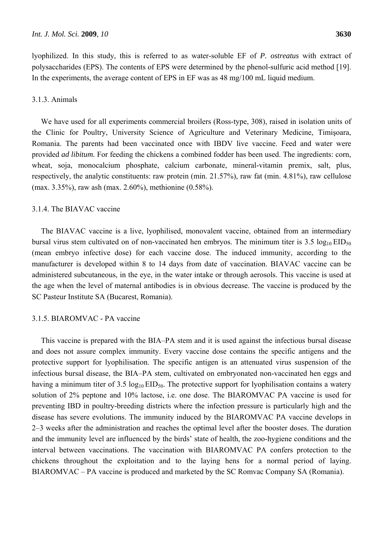lyophilized. In this study, this is referred to as water-soluble EF of *P. ostreatus* with extract of polysaccharides (EPS). The contents of EPS were determined by the phenol-sulfuric acid method [19]. In the experiments, the average content of EPS in EF was as 48 mg/100 mL liquid medium.

## 3.1.3. Animals

We have used for all experiments commercial broilers (Ross-type, 308), raised in isolation units of the Clinic for Poultry, University Science of Agriculture and Veterinary Medicine, Timişoara, Romania. The parents had been vaccinated once with IBDV live vaccine. Feed and water were provided *ad libitum.* For feeding the chickens a combined fodder has been used. The ingredients: corn, wheat, soja, monocalcium phosphate, calcium carbonate, mineral-vitamin premix, salt, plus, respectively, the analytic constituents: raw protein (min. 21.57%), raw fat (min. 4.81%), raw cellulose (max. 3.35%), raw ash (max. 2.60%), methionine (0.58%).

#### 3.1.4. The BIAVAC vaccine

The BIAVAC vaccine is a live, lyophilised, monovalent vaccine, obtained from an intermediary bursal virus stem cultivated on of non-vaccinated hen embryos. The minimum titer is 3.5  $\log_{10} EID_{50}$ (mean embryo infective dose) for each vaccine dose. The induced immunity, according to the manufacturer is developed within 8 to 14 days from date of vaccination. BIAVAC vaccine can be administered subcutaneous, in the eye, in the water intake or through aerosols. This vaccine is used at the age when the level of maternal antibodies is in obvious decrease. The vaccine is produced by the SC Pasteur Institute SA (Bucarest, Romania).

## 3.1.5. BIAROMVAC - PA vaccine

This vaccine is prepared with the BIA–PA stem and it is used against the infectious bursal disease and does not assure complex immunity. Every vaccine dose contains the specific antigens and the protective support for lyophilisation. The specific antigen is an attenuated virus suspension of the infectious bursal disease, the BIA–PA stem, cultivated on embryonated non-vaccinated hen eggs and having a minimum titer of 3.5  $log_{10}$  EID<sub>50</sub>. The protective support for lyophilisation contains a watery solution of 2% peptone and 10% lactose, i.e. one dose. The BIAROMVAC PA vaccine is used for preventing IBD in poultry-breeding districts where the infection pressure is particularly high and the disease has severe evolutions. The immunity induced by the BIAROMVAC PA vaccine develops in 2–3 weeks after the administration and reaches the optimal level after the booster doses. The duration and the immunity level are influenced by the birds' state of health, the zoo-hygiene conditions and the interval between vaccinations. The vaccination with BIAROMVAC PA confers protection to the chickens throughout the exploitation and to the laying hens for a normal period of laying. BIAROMVAC – PA vaccine is produced and marketed by the SC Romvac Company SA (Romania).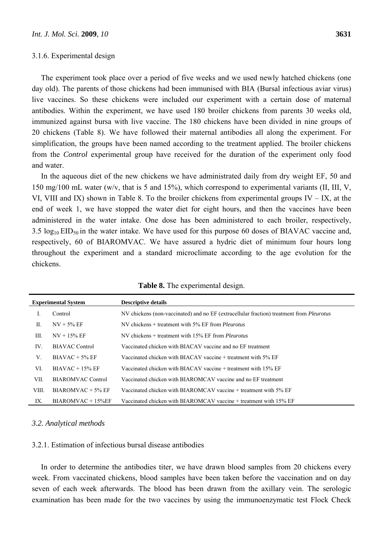The experiment took place over a period of five weeks and we used newly hatched chickens (one day old). The parents of those chickens had been immunised with BIA (Bursal infectious aviar virus) live vaccines. So these chickens were included our experiment with a certain dose of maternal antibodies. Within the experiment, we have used 180 broiler chickens from parents 30 weeks old, immunized against bursa with live vaccine. The 180 chickens have been divided in nine groups of 20 chickens (Table 8). We have followed their maternal antibodies all along the experiment. For simplification, the groups have been named according to the treatment applied. The broiler chickens from the *Control* experimental group have received for the duration of the experiment only food and water.

In the aqueous diet of the new chickens we have administrated daily from dry weight EF, 50 and 150 mg/100 mL water (w/v, that is 5 and 15%), which correspond to experimental variants (II, III, V, VI, VIII and IX) shown in Table 8. To the broiler chickens from experimental groups  $IV - IX$ , at the end of week 1, we have stopped the water diet for eight hours, and then the vaccines have been administered in the water intake. One dose has been administered to each broiler, respectively, 3.5  $log_{10}$  EID<sub>50</sub> in the water intake. We have used for this purpose 60 doses of BIAVAC vaccine and, respectively, 60 of BIAROMVAC. We have assured a hydric diet of minimum four hours long throughout the experiment and a standard microclimate according to the age evolution for the chickens.

**Table 8.** The experimental design.

|       | <b>Experimental System</b> | <b>Descriptive details</b>                                                                      |
|-------|----------------------------|-------------------------------------------------------------------------------------------------|
|       | Control                    | NV chickens (non-vaccinated) and no EF (extracellular fraction) treatment from <i>Pleurotus</i> |
| H.    | $NV + 5\% EF$              | NV chickens $+$ treatment with 5% EF from <i>Pleurotus</i>                                      |
| Ш.    | $NV + 15\%$ EF             | NV chickens + treatment with 15% EF from <i>Pleurotus</i>                                       |
| IV.   | BIAVAC Control             | Vaccinated chicken with BIACAV vaccine and no EF treatment                                      |
| V.    | $BIAVAC + 5\% EF$          | Vaccinated chicken with BIACAV vaccine $+$ treatment with 5% EF                                 |
| VI.   | $BIAVAC + 15% EF$          | Vaccinated chicken with BIACAV vaccine + treatment with 15% EF                                  |
| VII.  | BIAROMVAC Control          | Vaccinated chicken with BIAROMCAV vaccine and no EF treatment                                   |
| VIII. | $BIAROMVAC + 5% EF$        | Vaccinated chicken with BIAROMCAV vaccine + treatment with 5% EF                                |
| IX.   | $BIAROMVAC + 15%EF$        | Vaccinated chicken with BIAROMCAV vaccine + treatment with 15% EF                               |

## *3.2. Analytical methods*

## 3.2.1. Estimation of infectious bursal disease antibodies

In order to determine the antibodies titer, we have drawn blood samples from 20 chickens every week. From vaccinated chickens, blood samples have been taken before the vaccination and on day seven of each week afterwards. The blood has been drawn from the axillary vein. The serologic examination has been made for the two vaccines by using the immunoenzymatic test Flock Check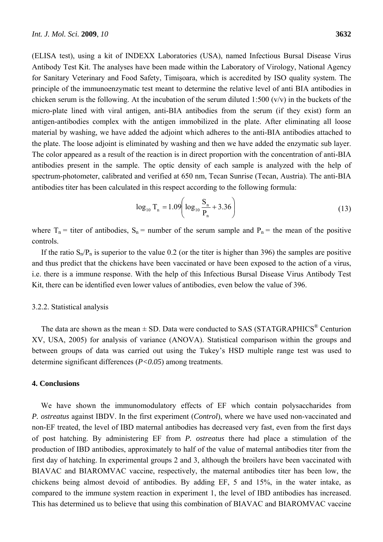(ELISA test), using a kit of INDEXX Laboratories (USA), named Infectious Bursal Disease Virus Antibody Test Kit. The analyses have been made within the Laboratory of Virology, National Agency for Sanitary Veterinary and Food Safety, Timişoara, which is accredited by ISO quality system. The principle of the immunoenzymatic test meant to determine the relative level of anti BIA antibodies in chicken serum is the following. At the incubation of the serum diluted 1:500  $(v/v)$  in the buckets of the micro-plate lined with viral antigen, anti-BIA antibodies from the serum (if they exist) form an antigen-antibodies complex with the antigen immobilized in the plate. After eliminating all loose material by washing, we have added the adjoint which adheres to the anti-BIA antibodies attached to the plate. The loose adjoint is eliminated by washing and then we have added the enzymatic sub layer. The color appeared as a result of the reaction is in direct proportion with the concentration of anti-BIA antibodies present in the sample. The optic density of each sample is analyzed with the help of spectrum-photometer, calibrated and verified at 650 nm, Tecan Sunrise (Tecan, Austria). The anti-BIA antibodies titer has been calculated in this respect according to the following formula:

$$
\log_{10} T_n = 1.09 \left( \log_{10} \frac{S_n}{P_n} + 3.36 \right)
$$
 (13)

where  $T_n$  = titer of antibodies,  $S_n$  = number of the serum sample and  $P_n$  = the mean of the positive controls.

If the ratio  $S_n/P_n$  is superior to the value 0.2 (or the titer is higher than 396) the samples are positive and thus predict that the chickens have been vaccinated or have been exposed to the action of a virus, i.e. there is a immune response. With the help of this Infectious Bursal Disease Virus Antibody Test Kit, there can be identified even lower values of antibodies, even below the value of 396.

## 3.2.2. Statistical analysis

The data are shown as the mean  $\pm$  SD. Data were conducted to SAS (STATGRAPHICS<sup>®</sup> Centurion XV, USA, 2005) for analysis of variance (ANOVA). Statistical comparison within the groups and between groups of data was carried out using the Tukey's HSD multiple range test was used to determine significant differences (*P<0.05*) among treatments.

# **4. Conclusions**

We have shown the immunomodulatory effects of EF which contain polysaccharides from *P. ostreatus* against IBDV. In the first experiment (*Control*), where we have used non-vaccinated and non-EF treated, the level of IBD maternal antibodies has decreased very fast, even from the first days of post hatching. By administering EF from *P. ostreatus* there had place a stimulation of the production of IBD antibodies, approximately to half of the value of maternal antibodies titer from the first day of hatching. In experimental groups 2 and 3, although the broilers have been vaccinated with BIAVAC and BIAROMVAC vaccine, respectively, the maternal antibodies titer has been low, the chickens being almost devoid of antibodies. By adding EF, 5 and 15%, in the water intake, as compared to the immune system reaction in experiment 1, the level of IBD antibodies has increased. This has determined us to believe that using this combination of BIAVAC and BIAROMVAC vaccine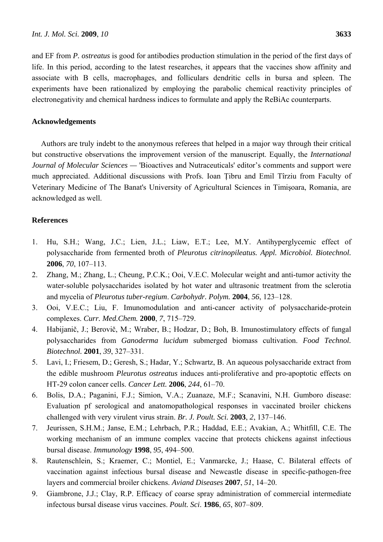and EF from *P. ostreatus* is good for antibodies production stimulation in the period of the first days of life. In this period, according to the latest researches, it appears that the vaccines show affinity and associate with B cells, macrophages, and folliculars dendritic cells in bursa and spleen. The experiments have been rationalized by employing the parabolic chemical reactivity principles of electronegativity and chemical hardness indices to formulate and apply the ReBiAc counterparts.

# **Acknowledgements**

Authors are truly indebt to the anonymous referees that helped in a major way through their critical but constructive observations the improvement version of the manuscript. Equally, the *International Journal of Molecular Sciences —* 'Bioactives and Nutraceuticals' editor's comments and support were much appreciated. Additional discussions with Profs. Ioan Ţibru and Emil Tîrziu from Faculty of Veterinary Medicine of The Banat's University of Agricultural Sciences in Timişoara, Romania, are acknowledged as well.

## **References**

- 1. Hu, S.H.; Wang, J.C.; Lien, J.L.; Liaw, E.T.; Lee, M.Y. Antihyperglycemic effect of polysaccharide from fermented broth of *Pleurotus citrinopileatus. Appl. Microbiol. Biotechnol.* **2006**, *70*, 107–113.
- 2. Zhang, M.; Zhang, L.; Cheung, P.C.K.; Ooi, V.E.C. Molecular weight and anti-tumor activity the water-soluble polysaccharides isolated by hot water and ultrasonic treatment from the sclerotia and mycelia of *Pleurotus tuber-regium*. *Carbohydr. Polym.* **2004**, *56*, 123–128.
- 3. Ooi, V.E.C.; Liu, F. Imunomodulation and anti-cancer activity of polysaccharide-protein complexes. *Curr. Med.Chem.* **2000**, *7*, 715–729.
- 4. Habijanič, J.; Berovič, M.; Wraber, B.; Hodzar, D.; Boh, B. Imunostimulatory effects of fungal polysaccharides from *Ganoderma lucidum* submerged biomass cultivation. *Food Technol. Biotechnol.* **2001**, *39*, 327–331.
- 5. Lavi, I.; Friesem, D.; Geresh, S.; Hadar, Y.; Schwartz, B. An aqueous polysaccharide extract from the edible mushroom *Pleurotus ostreatus* induces anti-proliferative and pro-apoptotic effects on HT-29 colon cancer cells. *Cancer Lett.* **2006**, *244*, 61–70.
- 6. Bolis, D.A.; Paganini, F.J.; Simion, V.A.; Zuanaze, M.F.; Scanavini, N.H. Gumboro disease: Evaluation pf serological and anatomopathological responses in vaccinated broiler chickens challenged with very virulent virus strain. *Br. J. Poult. Sci.* **2003**, *2*, 137–146.
- 7. Jeurissen, S.H.M.; Janse, E.M.; Lehrbach, P.R.; Haddad, E.E.; Avakian, A.; Whitfill, C.E. The working mechanism of an immune complex vaccine that protects chickens against infectious bursal disease. *Immunology* **1998**, *95*, 494–500.
- 8. Rautenschlein, S.; Kraemer, C.; Montiel, E.; Vanmarcke, J.; Haase, C. Bilateral effects of vaccination against infectious bursal disease and Newcastle disease in specific-pathogen-free layers and commercial broiler chickens. *Aviand Diseases* **2007**, *51*, 14–20.
- 9. Giambrone, J.J.; Clay, R.P. Efficacy of coarse spray administration of commercial intermediate infectous bursal disease virus vaccines. *Poult. Sci*. **1986**, *65*, 807–809.